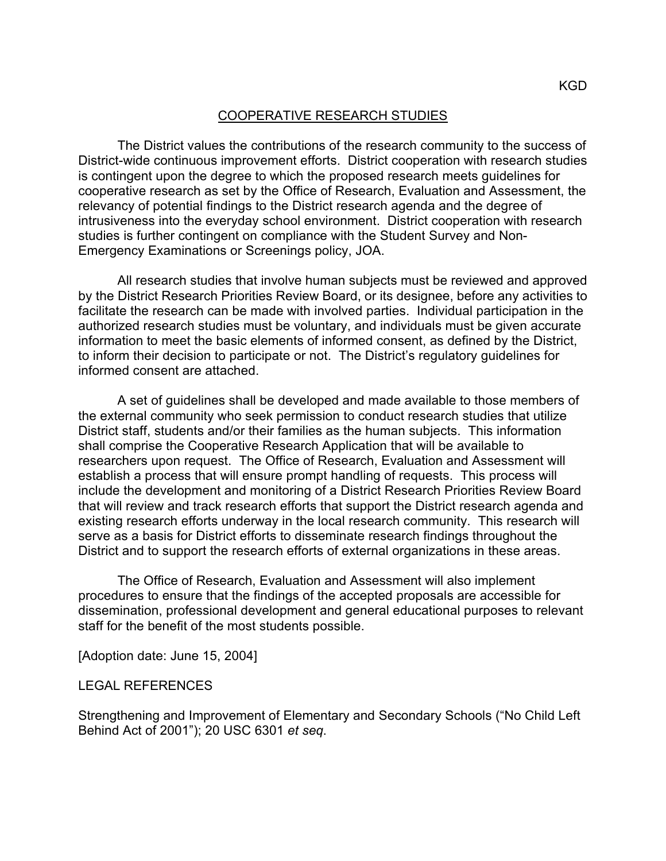## COOPERATIVE RESEARCH STUDIES

The District values the contributions of the research community to the success of District-wide continuous improvement efforts. District cooperation with research studies is contingent upon the degree to which the proposed research meets guidelines for cooperative research as set by the Office of Research, Evaluation and Assessment, the relevancy of potential findings to the District research agenda and the degree of intrusiveness into the everyday school environment. District cooperation with research studies is further contingent on compliance with the Student Survey and Non-Emergency Examinations or Screenings policy, JOA.

All research studies that involve human subjects must be reviewed and approved by the District Research Priorities Review Board, or its designee, before any activities to facilitate the research can be made with involved parties. Individual participation in the authorized research studies must be voluntary, and individuals must be given accurate information to meet the basic elements of informed consent, as defined by the District, to inform their decision to participate or not. The District's regulatory guidelines for informed consent are attached.

A set of guidelines shall be developed and made available to those members of the external community who seek permission to conduct research studies that utilize District staff, students and/or their families as the human subjects. This information shall comprise the Cooperative Research Application that will be available to researchers upon request. The Office of Research, Evaluation and Assessment will establish a process that will ensure prompt handling of requests. This process will include the development and monitoring of a District Research Priorities Review Board that will review and track research efforts that support the District research agenda and existing research efforts underway in the local research community. This research will serve as a basis for District efforts to disseminate research findings throughout the District and to support the research efforts of external organizations in these areas.

The Office of Research, Evaluation and Assessment will also implement procedures to ensure that the findings of the accepted proposals are accessible for dissemination, professional development and general educational purposes to relevant staff for the benefit of the most students possible.

[Adoption date: June 15, 2004]

## LEGAL REFERENCES

Strengthening and Improvement of Elementary and Secondary Schools ("No Child Left Behind Act of 2001"); 20 USC 6301 *et seq*.